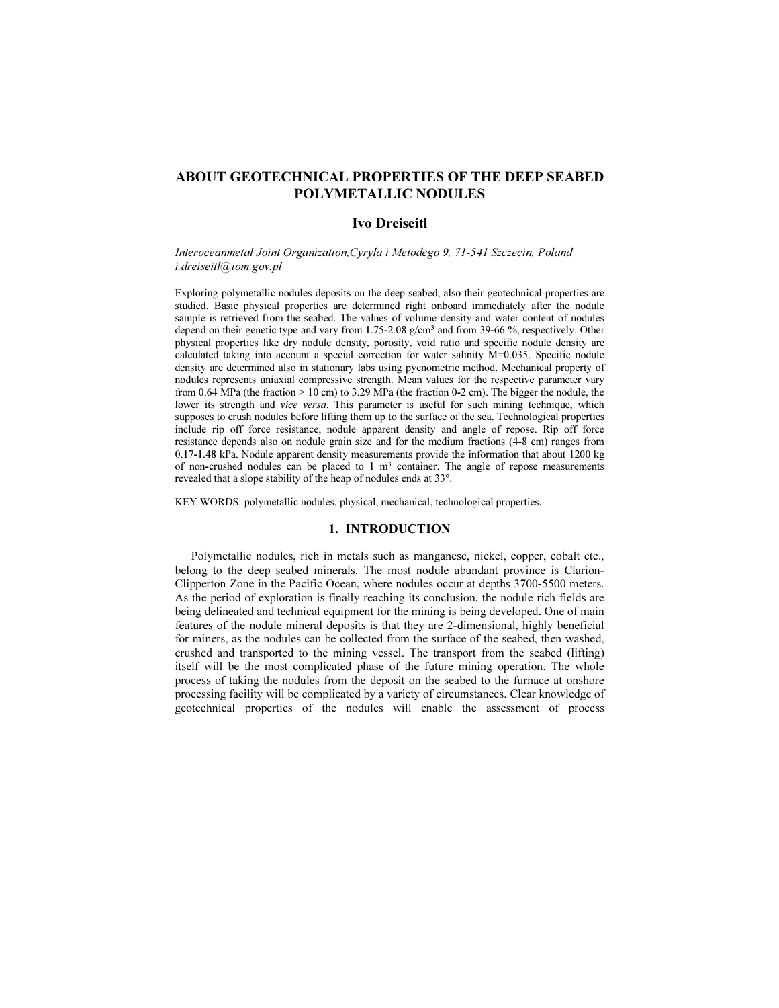# ABOUT GEOTECHNICAL PROPERTIES OF THE DEEP SEABED POLYMETALLIC NODULES

# Ivo Dreiseitl

Interoceanmetal Joint Organization,Cyryla i Metodego 9, 71-541 Szczecin, Poland i.dreiseitl@iom.gov.pl

Exploring polymetallic nodules deposits on the deep seabed, also their geotechnical properties are studied. Basic physical properties are determined right onboard immediately after the nodule sample is retrieved from the seabed. The values of volume density and water content of nodules depend on their genetic type and vary from 1.75-2.08 g/cm<sup>3</sup> and from 39-66 %, respectively. Other physical properties like dry nodule density, porosity, void ratio and specific nodule density are calculated taking into account a special correction for water salinity M=0.035. Specific nodule density are determined also in stationary labs using pycnometric method. Mechanical property of nodules represents uniaxial compressive strength. Mean values for the respective parameter vary from 0.64 MPa (the fraction > 10 cm) to 3.29 MPa (the fraction 0-2 cm). The bigger the nodule, the lower its strength and vice versa. This parameter is useful for such mining technique, which supposes to crush nodules before lifting them up to the surface of the sea. Technological properties include rip off force resistance, nodule apparent density and angle of repose. Rip off force resistance depends also on nodule grain size and for the medium fractions (4-8 cm) ranges from 0.17-1.48 kPa. Nodule apparent density measurements provide the information that about 1200 kg of non-crushed nodules can be placed to  $1 \text{ m}^3$  container. The angle of repose measurements revealed that a slope stability of the heap of nodules ends at 33°.

KEY WORDS: polymetallic nodules, physical, mechanical, technological properties.

# 1. INTRODUCTION

Polymetallic nodules, rich in metals such as manganese, nickel, copper, cobalt etc., belong to the deep seabed minerals. The most nodule abundant province is Clarion-Clipperton Zone in the Pacific Ocean, where nodules occur at depths 3700-5500 meters. As the period of exploration is finally reaching its conclusion, the nodule rich fields are being delineated and technical equipment for the mining is being developed. One of main features of the nodule mineral deposits is that they are 2-dimensional, highly beneficial for miners, as the nodules can be collected from the surface of the seabed, then washed, crushed and transported to the mining vessel. The transport from the seabed (lifting) itself will be the most complicated phase of the future mining operation. The whole process of taking the nodules from the deposit on the seabed to the furnace at onshore processing facility will be complicated by a variety of circumstances. Clear knowledge of geotechnical properties of the nodules will enable the assessment of process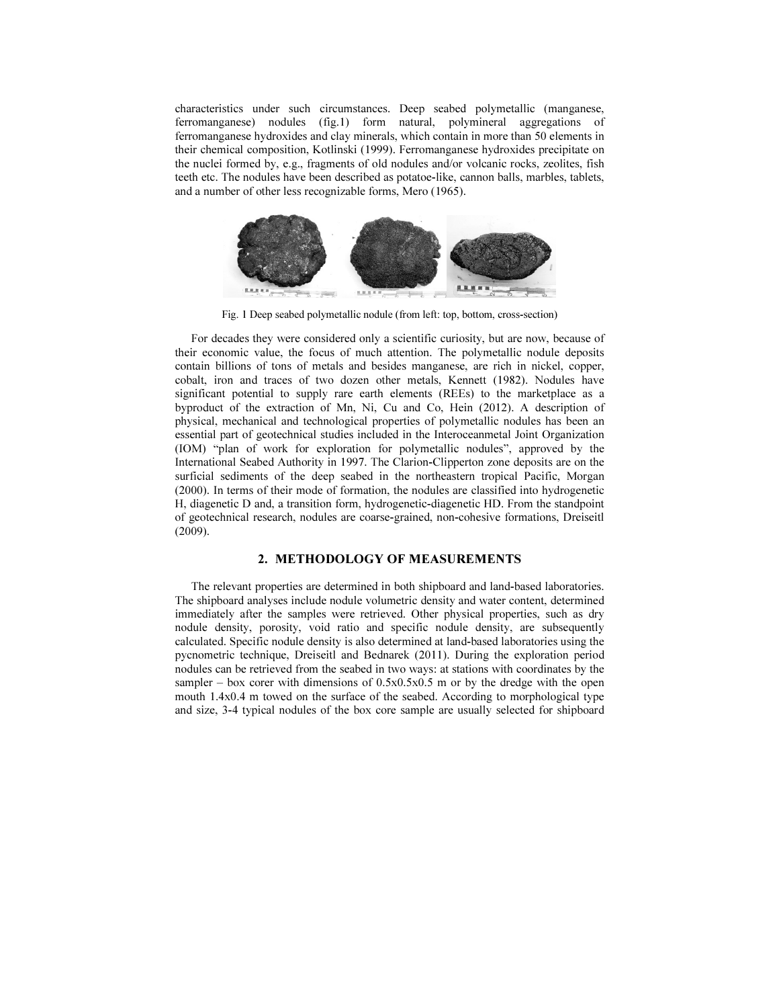characteristics under such circumstances. Deep seabed polymetallic (manganese, ferromanganese) nodules (fig.1) form natural, polymineral aggregations of ferromanganese hydroxides and clay minerals, which contain in more than 50 elements in their chemical composition, Kotlinski (1999). Ferromanganese hydroxides precipitate on the nuclei formed by, e.g., fragments of old nodules and/or volcanic rocks, zeolites, fish teeth etc. The nodules have been described as potatoe-like, cannon balls, marbles, tablets, and a number of other less recognizable forms, Mero (1965).



Fig. 1 Deep seabed polymetallic nodule (from left: top, bottom, cross-section)

For decades they were considered only a scientific curiosity, but are now, because of their economic value, the focus of much attention. The polymetallic nodule deposits contain billions of tons of metals and besides manganese, are rich in nickel, copper, cobalt, iron and traces of two dozen other metals, Kennett (1982). Nodules have significant potential to supply rare earth elements (REEs) to the marketplace as a byproduct of the extraction of Mn, Ni, Cu and Co, Hein (2012). A description of physical, mechanical and technological properties of polymetallic nodules has been an essential part of geotechnical studies included in the Interoceanmetal Joint Organization (IOM) "plan of work for exploration for polymetallic nodules", approved by the International Seabed Authority in 1997. The Clarion-Clipperton zone deposits are on the surficial sediments of the deep seabed in the northeastern tropical Pacific, Morgan (2000). In terms of their mode of formation, the nodules are classified into hydrogenetic H, diagenetic D and, a transition form, hydrogenetic-diagenetic HD. From the standpoint of geotechnical research, nodules are coarse-grained, non-cohesive formations, Dreiseitl (2009).

# 2. METHODOLOGY OF MEASUREMENTS

The relevant properties are determined in both shipboard and land-based laboratories. The shipboard analyses include nodule volumetric density and water content, determined immediately after the samples were retrieved. Other physical properties, such as dry nodule density, porosity, void ratio and specific nodule density, are subsequently calculated. Specific nodule density is also determined at land-based laboratories using the pycnometric technique, Dreiseitl and Bednarek (2011). During the exploration period nodules can be retrieved from the seabed in two ways: at stations with coordinates by the sampler – box corer with dimensions of  $0.5x0.5x0.5$  m or by the dredge with the open mouth 1.4x0.4 m towed on the surface of the seabed. According to morphological type and size, 3-4 typical nodules of the box core sample are usually selected for shipboard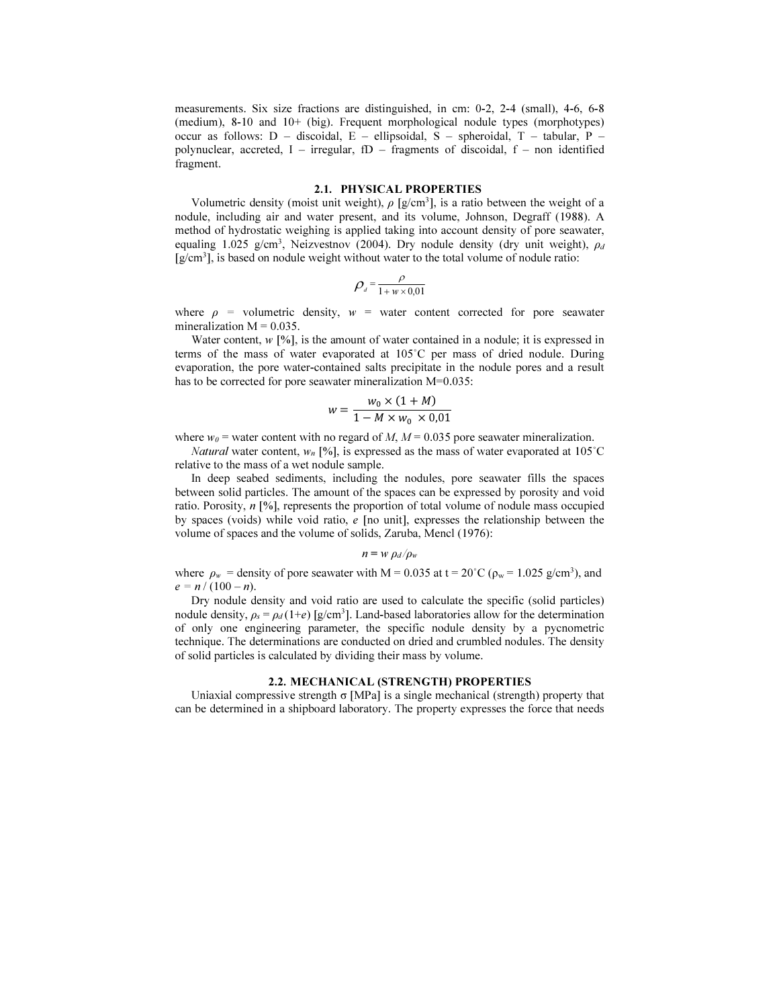measurements. Six size fractions are distinguished, in cm: 0-2, 2-4 (small), 4-6, 6-8 (medium), 8-10 and 10+ (big). Frequent morphological nodule types (morphotypes) occur as follows: D – discoidal, E – ellipsoidal, S – spheroidal, T – tabular, P – polynuclear, accreted,  $I$  – irregular,  $fD$  – fragments of discoidal,  $f$  – non identified fragment.

# 2.1. PHYSICAL PROPERTIES

Volumetric density (moist unit weight),  $\rho$  [g/cm<sup>3</sup>], is a ratio between the weight of a nodule, including air and water present, and its volume, Johnson, Degraff (1988). A method of hydrostatic weighing is applied taking into account density of pore seawater, equaling 1.025 g/cm<sup>3</sup>, Neizvestnov (2004). Dry nodule density (dry unit weight),  $\rho_d$ [g/cm<sup>3</sup> ], is based on nodule weight without water to the total volume of nodule ratio:

$$
\rho_{d} = \frac{\rho}{1 + w \times 0.01}
$$

where  $\rho$  = volumetric density,  $w$  = water content corrected for pore seawater mineralization  $M = 0.035$ .

Water content,  $w$  [%], is the amount of water contained in a nodule; it is expressed in terms of the mass of water evaporated at 105˚C per mass of dried nodule. During evaporation, the pore water-contained salts precipitate in the nodule pores and a result has to be corrected for pore seawater mineralization M=0.035:

$$
w = \frac{w_0 \times (1 + M)}{1 - M \times w_0 \times 0.01}
$$

where  $w_0$  = water content with no regard of M,  $M = 0.035$  pore seawater mineralization.

*Natural* water content,  $w_n$  [%], is expressed as the mass of water evaporated at 105°C relative to the mass of a wet nodule sample.

In deep seabed sediments, including the nodules, pore seawater fills the spaces between solid particles. The amount of the spaces can be expressed by porosity and void ratio. Porosity,  $n \lceil \% \rceil$ , represents the proportion of total volume of nodule mass occupied by spaces (voids) while void ratio,  $e$  [no unit], expresses the relationship between the volume of spaces and the volume of solids, Zaruba, Mencl (1976):

$$
n = w \rho_d / \rho_w
$$

where  $\rho_w$  = density of pore seawater with M = 0.035 at t = 20°C ( $\rho_w$  = 1.025 g/cm<sup>3</sup>), and  $e = n / (100 - n).$ 

Dry nodule density and void ratio are used to calculate the specific (solid particles) nodule density,  $\rho_s = \rho_d (1+e)$  [g/cm<sup>3</sup>]. Land-based laboratories allow for the determination of only one engineering parameter, the specific nodule density by a pycnometric technique. The determinations are conducted on dried and crumbled nodules. The density of solid particles is calculated by dividing their mass by volume.

#### 2.2. MECHANICAL (STRENGTH) PROPERTIES

Uniaxial compressive strength  $\sigma$  [MPa] is a single mechanical (strength) property that can be determined in a shipboard laboratory. The property expresses the force that needs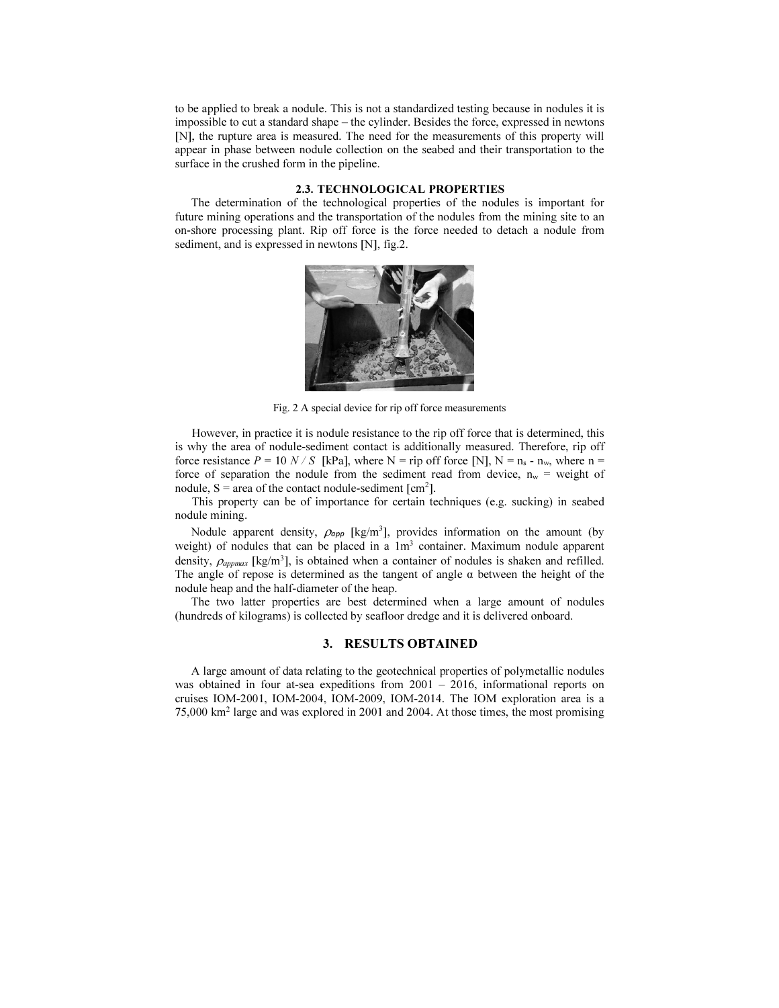to be applied to break a nodule. This is not a standardized testing because in nodules it is impossible to cut a standard shape – the cylinder. Besides the force, expressed in newtons [N], the rupture area is measured. The need for the measurements of this property will appear in phase between nodule collection on the seabed and their transportation to the surface in the crushed form in the pipeline.

### 2.3. TECHNOLOGICAL PROPERTIES

The determination of the technological properties of the nodules is important for future mining operations and the transportation of the nodules from the mining site to an on-shore processing plant. Rip off force is the force needed to detach a nodule from sediment, and is expressed in newtons [N], fig.2.



Fig. 2 A special device for rip off force measurements

However, in practice it is nodule resistance to the rip off force that is determined, this is why the area of nodule-sediment contact is additionally measured. Therefore, rip off force resistance  $P = 10 N / S$  [kPa], where N = rip off force [N], N = n<sub>s</sub> - n<sub>w</sub>, where n = force of separation the nodule from the sediment read from device,  $n_w$  = weight of nodule,  $S = area$  of the contact nodule-sediment [cm<sup>2</sup>].

This property can be of importance for certain techniques (e.g. sucking) in seabed nodule mining.

Nodule apparent density,  $\rho_{app}$  [kg/m<sup>3</sup>], provides information on the amount (by weight) of nodules that can be placed in a 1m<sup>3</sup> container. Maximum nodule apparent density,  $\rho_{approx}$  [kg/m<sup>3</sup>], is obtained when a container of nodules is shaken and refilled. The angle of repose is determined as the tangent of angle  $\alpha$  between the height of the nodule heap and the half-diameter of the heap.

The two latter properties are best determined when a large amount of nodules (hundreds of kilograms) is collected by seafloor dredge and it is delivered onboard.

# 3. RESULTS OBTAINED

A large amount of data relating to the geotechnical properties of polymetallic nodules was obtained in four at-sea expeditions from 2001 – 2016, informational reports on cruises IOM-2001, IOM-2004, IOM-2009, IOM-2014. The IOM exploration area is a 75,000 km<sup>2</sup> large and was explored in 2001 and 2004. At those times, the most promising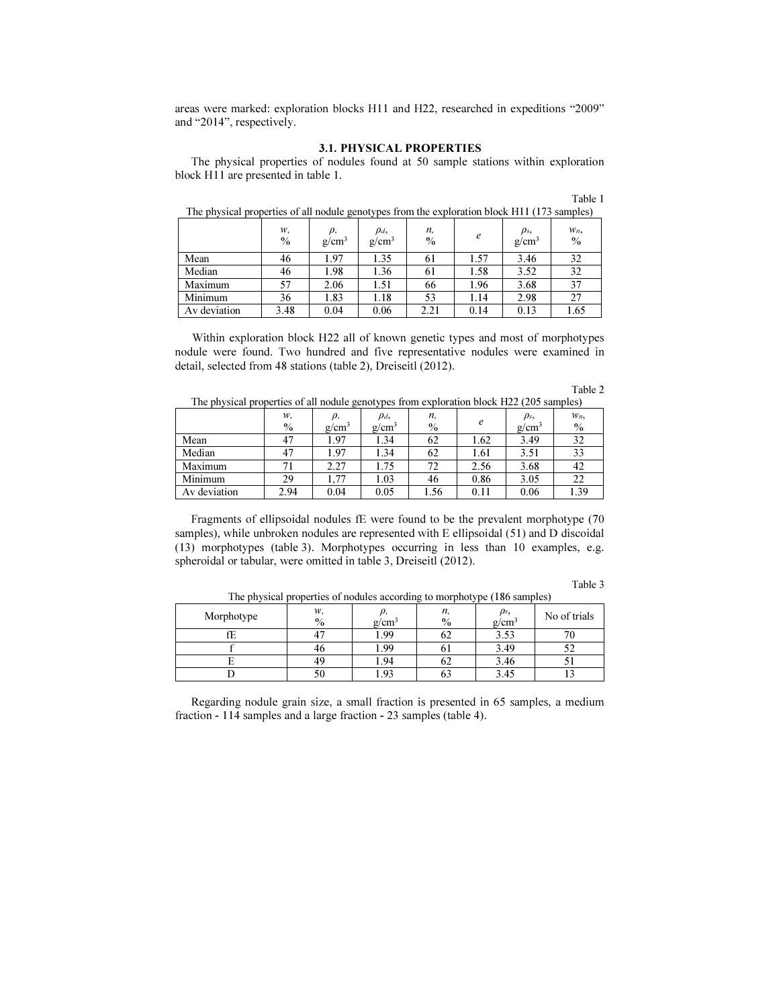areas were marked: exploration blocks H11 and H22, researched in expeditions "2009" and "2014", respectively.

### 3.1. PHYSICAL PROPERTIES

The physical properties of nodules found at 50 sample stations within exploration block H11 are presented in table 1.

| The physical properties of all nodule genotypes from the exploration block HTT (173 samples) |            |                |                               |                     |      |                      |                        |
|----------------------------------------------------------------------------------------------|------------|----------------|-------------------------------|---------------------|------|----------------------|------------------------|
|                                                                                              | w.<br>$\%$ | ρ,<br>$g/cm^3$ | $\rho_d$<br>g/cm <sup>3</sup> | n,<br>$\frac{0}{0}$ | e    | $\rho_s$<br>$g/cm^3$ | $W_n$<br>$\frac{0}{0}$ |
| Mean                                                                                         | 46         | 1.97           | 1.35                          | 61                  | 1.57 | 3.46                 | 32                     |
| Median                                                                                       | 46         | 1.98           | 1.36                          | 61                  | 1.58 | 3.52                 | 32                     |
| Maximum                                                                                      | 57         | 2.06           | 1.51                          | 66                  | 1.96 | 3.68                 | 37                     |
| Minimum                                                                                      | 36         | 1.83           | 1.18                          | 53                  | 1.14 | 2.98                 | 27                     |
| Av deviation                                                                                 | 3.48       | 0.04           | 0.06                          | 2.21                | 0.14 | 0.13                 | 1.65                   |

| The physical properties of all nodule genotypes from the exploration block H11 (173 samples) |  |  |
|----------------------------------------------------------------------------------------------|--|--|
|                                                                                              |  |  |

Within exploration block H22 all of known genetic types and most of morphotypes nodule were found. Two hundred and five representative nodules were examined in detail, selected from 48 stations (table 2), Dreiseitl (2012).

|                                                                                          | Table 2 |
|------------------------------------------------------------------------------------------|---------|
| The physical properties of all nodule genotypes from exploration block H22 (205 samples) |         |

| -----<br>_ _ _ _ _ _ _ _ _ _ _ _ |            |                |                      |            |      |                      |               |
|----------------------------------|------------|----------------|----------------------|------------|------|----------------------|---------------|
|                                  | w,<br>$\%$ | ρ,<br>$g/cm^3$ | $\rho_d$<br>$g/cm^3$ | n.<br>$\%$ | e    | $\rho_s$<br>$g/cm^3$ | $W_n$<br>$\%$ |
| Mean                             | 47         | 1.97           | 1.34                 | 62         | 1.62 | 3.49                 | 32            |
| Median                           | 47         | 1.97           | 1.34                 | 62         | 1.61 | 3.51                 | 33            |
| Maximum                          |            | 2.27           | 1.75                 | 72         | 2.56 | 3.68                 | 42            |
| Minimum                          | 29         | .77            | 1.03                 | 46         | 0.86 | 3.05                 | 22            |
| Av deviation                     | 2.94       | 0.04           | 0.05                 | 1.56       | 0.11 | 0.06                 | 1.39          |

Fragments of ellipsoidal nodules fE were found to be the prevalent morphotype (70 samples), while unbroken nodules are represented with E ellipsoidal (51) and D discoidal (13) morphotypes (table 3). Morphotypes occurring in less than 10 examples, e.g. spheroidal or tabular, were omitted in table 3, Dreiseitl (2012).

#### Table 3

Table 1

| Morphotype | W.<br>$\frac{0}{0}$ | g/cm | n.<br>$\frac{0}{0}$ | ρs,<br>g/cm- | No of trials |
|------------|---------------------|------|---------------------|--------------|--------------|
|            |                     | 1.99 | OΖ                  | 3.53         | 70           |
|            |                     | 1.99 |                     | 3.49         |              |
|            | 40                  | 1.94 | υ∠                  | 3.46         |              |
|            |                     | 1.93 | O.                  | 3.45         |              |

The physical properties of nodules according to morphotype (186 samples)

Regarding nodule grain size, a small fraction is presented in 65 samples, a medium fraction - 114 samples and a large fraction - 23 samples (table 4).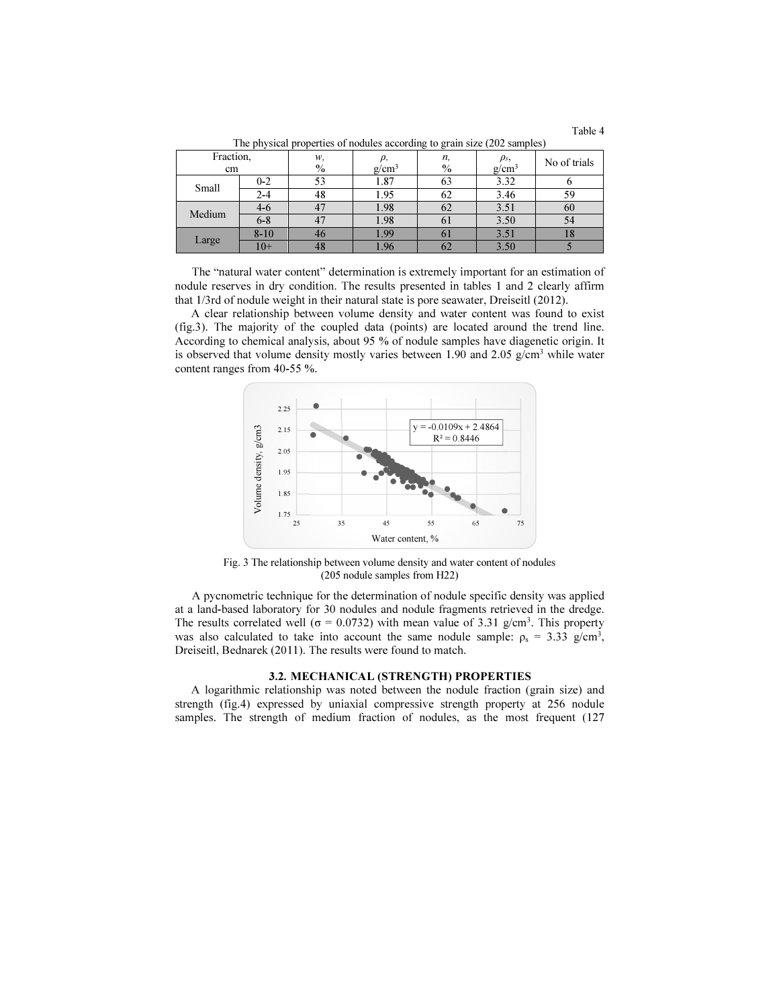Table 4

|                 |          |            |          | <u>.</u>       |                       |              |
|-----------------|----------|------------|----------|----------------|-----------------------|--------------|
| Fraction,<br>cm |          | w,<br>$\%$ | $g/cm^3$ | n,<br>$\%$     | $\rho_s,$<br>$g/cm^3$ | No of trials |
| Small           | $0 - 2$  | 53         | 1.87     | 63             | 3.32                  |              |
|                 | $2 - 4$  | 48         | 1.95     | 62             | 3.46                  | 59           |
| Medium          | 4-6      |            | 1.98     | 62             | 3.51                  | 60           |
|                 | $6 - 8$  |            | 1.98     | 0 <sub>1</sub> | 3.50                  | 54           |
| Large           | $8 - 10$ | 46         | 1.99     | $\sigma$       | 3.51                  | Ιð           |
|                 | $10+$    | 48         | 1.96     | ΩZ             | 3.50                  |              |

The physical properties of nodules according to grain size (202 samples)

The "natural water content" determination is extremely important for an estimation of nodule reserves in dry condition. The results presented in tables 1 and 2 clearly affirm that 1/3rd of nodule weight in their natural state is pore seawater, Dreiseitl (2012).

A clear relationship between volume density and water content was found to exist (fig.3). The majority of the coupled data (points) are located around the trend line. According to chemical analysis, about 95 % of nodule samples have diagenetic origin. It is observed that volume density mostly varies between 1.90 and 2.05  $g/cm<sup>3</sup>$  while water content ranges from 40-55 %.



Fig. 3 The relationship between volume density and water content of nodules (205 nodule samples from H22)

A pycnometric technique for the determination of nodule specific density was applied at a land-based laboratory for 30 nodules and nodule fragments retrieved in the dredge. The results correlated well ( $\sigma = 0.0732$ ) with mean value of 3.31 g/cm<sup>3</sup>. This property was also calculated to take into account the same nodule sample:  $\rho_s = 3.33$  g/cm<sup>3</sup>, Dreiseitl, Bednarek (2011). The results were found to match.

### 3.2. MECHANICAL (STRENGTH) PROPERTIES

A logarithmic relationship was noted between the nodule fraction (grain size) and strength (fig.4) expressed by uniaxial compressive strength property at 256 nodule samples. The strength of medium fraction of nodules, as the most frequent (127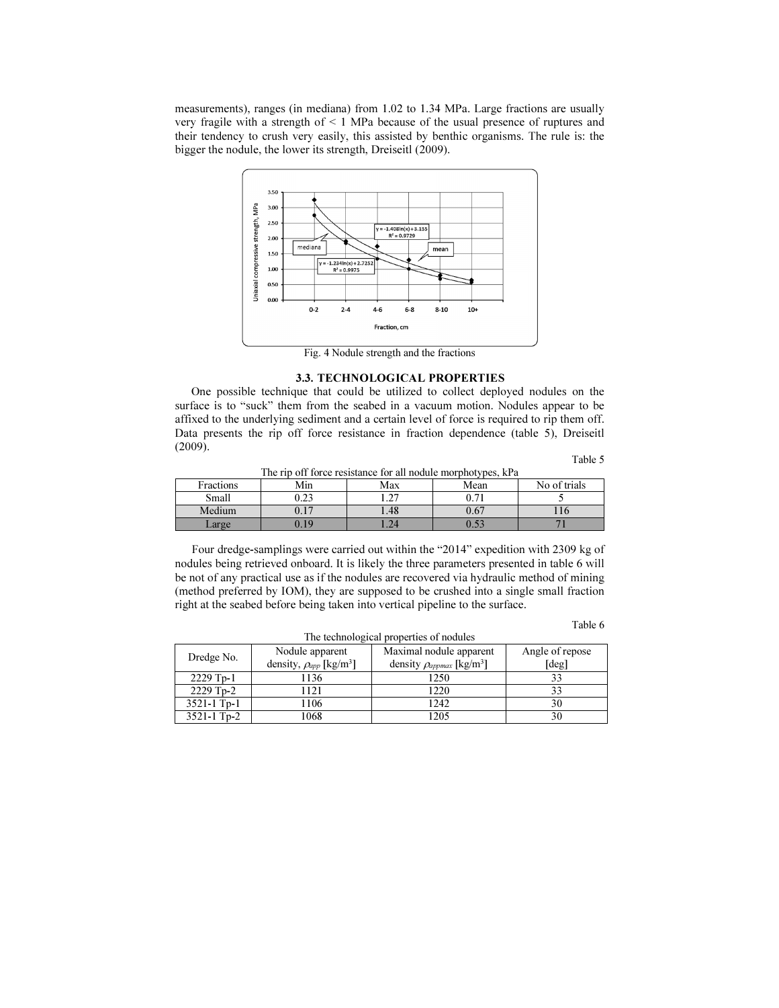measurements), ranges (in mediana) from 1.02 to 1.34 MPa. Large fractions are usually very fragile with a strength of ˂ 1 MPa because of the usual presence of ruptures and their tendency to crush very easily, this assisted by benthic organisms. The rule is: the bigger the nodule, the lower its strength, Dreiseitl (2009).



Fig. 4 Nodule strength and the fractions

### 3.3. TECHNOLOGICAL PROPERTIES

One possible technique that could be utilized to collect deployed nodules on the surface is to "suck" them from the seabed in a vacuum motion. Nodules appear to be affixed to the underlying sediment and a certain level of force is required to rip them off. Data presents the rip off force resistance in fraction dependence (table 5), Dreiseitl (2009).

Table 5

| The rip off force resistance for all nodule morphotypes, kPa |      |  |  |  |  |  |
|--------------------------------------------------------------|------|--|--|--|--|--|
| Min<br>Mean<br>No of trials<br>Fractions<br>Max              |      |  |  |  |  |  |
| Small                                                        | ).23 |  |  |  |  |  |
| Medium                                                       |      |  |  |  |  |  |
| $\angle \text{arg}$ e                                        | 19   |  |  |  |  |  |

Four dredge-samplings were carried out within the "2014" expedition with 2309 kg of nodules being retrieved onboard. It is likely the three parameters presented in table 6 will be not of any practical use as if the nodules are recovered via hydraulic method of mining (method preferred by IOM), they are supposed to be crushed into a single small fraction right at the seabed before being taken into vertical pipeline to the surface.

### Table 6

| The technological properties of houties |                                            |                                              |                 |  |  |  |
|-----------------------------------------|--------------------------------------------|----------------------------------------------|-----------------|--|--|--|
| Dredge No.                              | Nodule apparent                            | Maximal nodule apparent                      | Angle of repose |  |  |  |
|                                         | density, $\rho_{app}$ [kg/m <sup>3</sup> ] | density $\rho_{approx}$ [kg/m <sup>3</sup> ] | [deg]           |  |  |  |
| $2229$ Tp-1                             | 1136                                       | 1250                                         | 33              |  |  |  |
| $2229$ Tp-2                             | 1121                                       | 1220                                         | 33              |  |  |  |
| $3521 - 1$ Tp-1                         | 1106                                       | 1242                                         | 30              |  |  |  |
| $3521 - 1$ Tp-2                         | 1068                                       | 1205                                         | 30              |  |  |  |

The technological properties of nodules